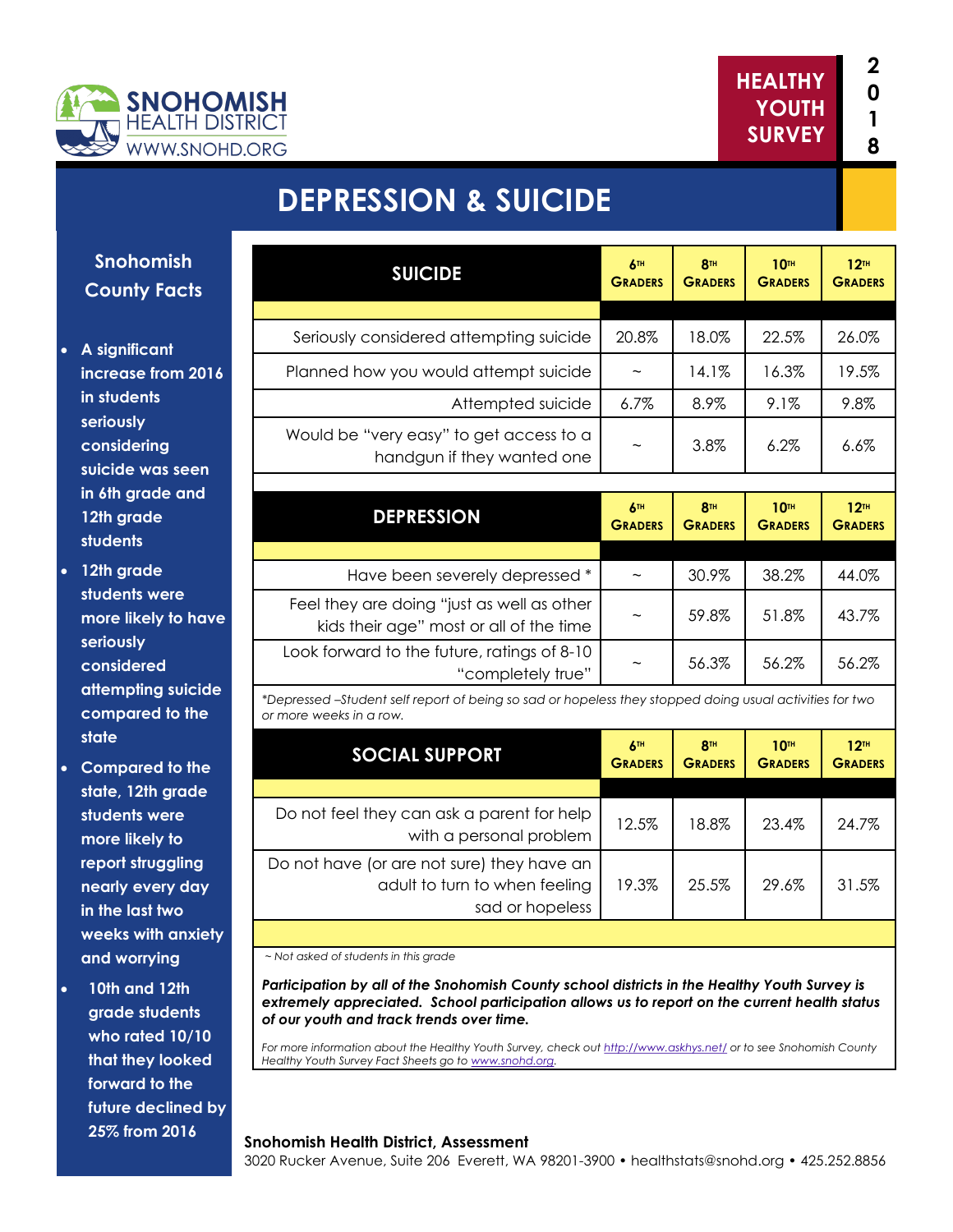



## **DEPRESSION & SUICIDE**

**Snohomish County Facts**

- **A significant increase from 2016 in students seriously considering suicide was seen in 6th grade and 12th grade students**
- **12th grade students were more likely to have seriously considered attempting suicide compared to the state**
- **Compared to the state, 12th grade students were more likely to report struggling nearly every day in the last two weeks with anxiety and worrying**
- **10th and 12th grade students who rated 10/10 that they looked forward to the future declined by 25% from 2016**

| <b>SUICIDE</b>                                                                                                                     | <b>ATH</b><br><b>GRADERS</b> | <b>8TH</b><br><b>GRADERS</b>      | <b>10TH</b><br><b>GRADERS</b> | 12 <sup>TH</sup><br><b>GRADERS</b> |
|------------------------------------------------------------------------------------------------------------------------------------|------------------------------|-----------------------------------|-------------------------------|------------------------------------|
|                                                                                                                                    |                              |                                   |                               |                                    |
| Seriously considered attempting suicide                                                                                            | 20.8%                        | 18.0%                             | 22.5%                         | 26.0%                              |
| Planned how you would attempt suicide                                                                                              | $\widetilde{\phantom{m}}$    | 14.1%                             | 16.3%                         | 19.5%                              |
| Attempted suicide                                                                                                                  | 6.7%                         | 8.9%                              | 9.1%                          | 9.8%                               |
| Would be "very easy" to get access to a<br>handgun if they wanted one                                                              |                              | 3.8%                              | 6.2%                          | 6.6%                               |
| <b>DEPRESSION</b>                                                                                                                  | 6TH<br><b>GRADERS</b>        | <b>8TH</b><br><b>GRADERS</b>      | <b>10TH</b><br><b>GRADERS</b> | 12 <sup>TH</sup><br><b>GRADERS</b> |
|                                                                                                                                    |                              |                                   |                               |                                    |
|                                                                                                                                    |                              |                                   |                               |                                    |
| Have been severely depressed *                                                                                                     | $\sim$                       | 30.9%                             | 38.2%                         | 44.0%                              |
| Feel they are doing "just as well as other<br>kids their age" most or all of the time                                              |                              | 59.8%                             | 51.8%                         | 43.7%                              |
| Look forward to the future, ratings of 8-10<br>"completely true"                                                                   |                              | 56.3%                             | 56.2%                         | 56.2%                              |
| *Depressed -Student self report of being so sad or hopeless they stopped doing usual activities for two<br>or more weeks in a row. |                              |                                   |                               |                                    |
| <b>SOCIAL SUPPORT</b>                                                                                                              | 6TH<br><b>GRADERS</b>        | 8 <sup>TH</sup><br><b>GRADERS</b> | <b>10TH</b><br><b>GRADERS</b> | 12 <sup>TH</sup><br><b>GRADERS</b> |
|                                                                                                                                    |                              |                                   |                               |                                    |

| <b>DO HOT TOOI THEY CUIT USK OF DUITOIT TOI TIGID</b><br>with a personal problem               | 12.5% | 18.8% | 23.4% | 24.7% |
|------------------------------------------------------------------------------------------------|-------|-------|-------|-------|
| Do not have (or are not sure) they have an<br>adult to turn to when feeling<br>sad or hopeless | 19.3% | 25.5% | 29.6% | 31.5% |

*~ Not asked of students in this grade*

*Participation by all of the Snohomish County school districts in the Healthy Youth Survey is extremely appreciated. School participation allows us to report on the current health status of our youth and track trends over time.*

*For more information about the Healthy Youth Survey, check out<http://www.askhys.net/> or to see Snohomish County Healthy Youth Survey Fact Sheets go to [www.snohd.org.](http://www.snohd.org/)* 

#### **Snohomish Health District, Assessment**

3020 Rucker Avenue, Suite 206 Everett, WA 98201-3900 • healthstats@snohd.org • 425.252.8856